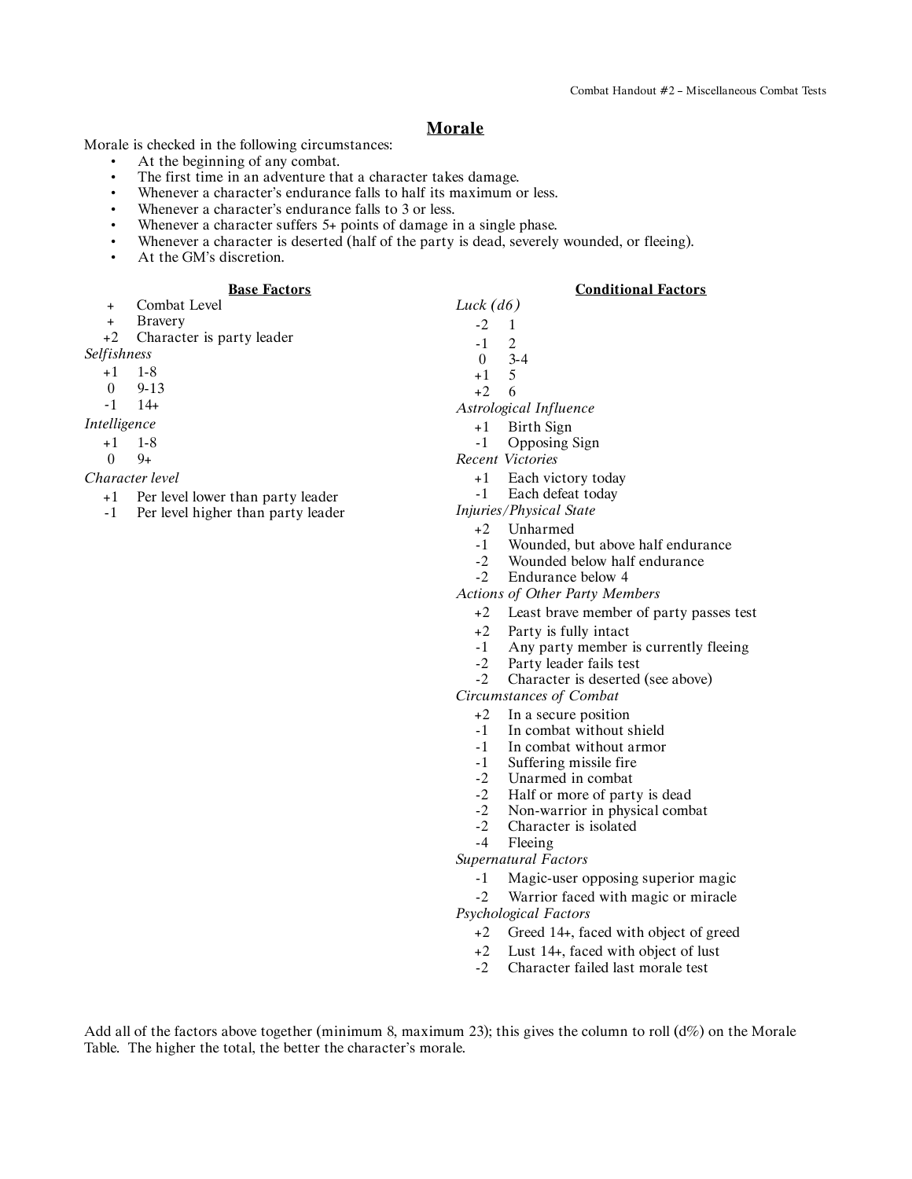## **Morale**

Morale is checked in the following circumstances:

- At the beginning of any combat.
- The first time in an adventure that a character takes damage.
- Whenever a character's endurance falls to half its maximum or less.
- Whenever a character's endurance falls to 3 or less.
- Whenever a character suffers 5+ points of damage in a single phase.
- Whenever a character is deserted (half of the party is dead, severely wounded, or fleeing).
- At the GM's discretion.

#### **Base Factors**

- + Combat Level
- + Bravery

+2 Character is party leader *Selfishness*

+1 1-8

- 0 9-13
- *-*1 14+

*Intelligence*

- +1 1-8
- $0 \t 9+$

*Character level*

- +1 Per level lower than party leader
- -1 Per level higher than party leader

**Conditional Factors**

- *Luck (d6)*  $-2$  1  $\begin{matrix} -1 & 2 \\ 0 & 3 \end{matrix}$  $3-4$  $+1$ +2 6 *Astrological Influence* +1 Birth Sign -1 Opposing Sign *Recent Victories*
	- - +1 Each victory today
		- -1 Each defeat today
	- *Injuries/Physical State*
		- +2 Unharmed
		- -1 Wounded, but above half endurance
		- -2 Wounded below half endurance<br>-2 Endurance below 4
		- Endurance below 4

*Actions of Other Party Members*

- +2 Least brave member of party passes test
- +2 Party is fully intact
- -1 Any party member is currently fleeing
- -2 Party leader fails test
- -2 Character is deserted (see above)

*Circumstances of Combat*

- +2 In a secure position
- -1 In combat without shield
- -1 In combat without armor
- -1 Suffering missile fire
- -2 Unarmed in combat<br>-2 Half or more of part
- Half or more of party is dead
- -2 Non-warrior in physical combat<br>-2 Character is isolated
- -2 Character is isolated<br>-4 Fleeing
- Fleeing

*Supernatural Factors*

-1 Magic-user opposing superior magic

-2 Warrior faced with magic or miracle *Psychological Factors*

- +2 Greed 14+, faced with object of greed
- 
- +2 Lust 14+, faced with object of lust<br>-2 Character failed last morale test Character failed last morale test

Add all of the factors above together (minimum 8, maximum 23); this gives the column to roll  $(d\%)$  on the Morale Table. The higher the total, the better the character's morale.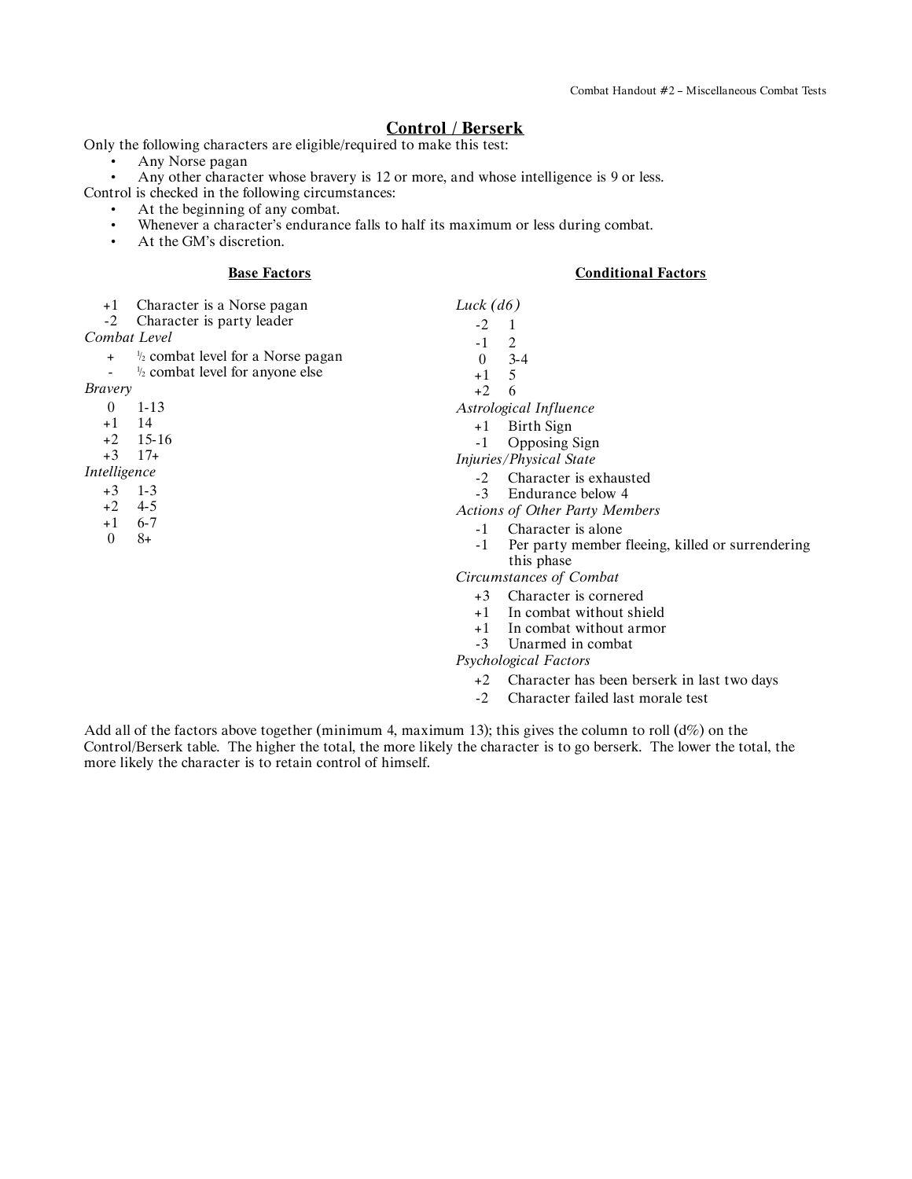# **Control / Berserk**

Only the following characters are eligible/required to make this test:

• Any Norse pagan<br>• Any other charact

Any other character whose bravery is 12 or more, and whose intelligence is 9 or less. Control is checked in the following circumstances:

- At the beginning of any combat.
- Whenever a character's endurance falls to half its maximum or less during combat.<br>• At the GM's discretion
	- At the GM's discretion.

### **Base Factors**

## **Conditional Factors**

| $+1$                                                                     | Character is a Norse pagan                                                                 | Luck $(d6)$                                                                                                                                                                                                                                                                                                       |
|--------------------------------------------------------------------------|--------------------------------------------------------------------------------------------|-------------------------------------------------------------------------------------------------------------------------------------------------------------------------------------------------------------------------------------------------------------------------------------------------------------------|
| $-2$                                                                     | Character is party leader                                                                  | $-2$                                                                                                                                                                                                                                                                                                              |
|                                                                          | Combat Level                                                                               | 2<br>$-1$                                                                                                                                                                                                                                                                                                         |
| $\ddot{}$<br>Bravery                                                     | $\frac{1}{2}$ combat level for a Norse pagan<br>$\frac{1}{2}$ combat level for anyone else | $3 - 4$<br>$\theta$<br>5<br>$+1$                                                                                                                                                                                                                                                                                  |
| $\theta$                                                                 | $1 - 13$                                                                                   | $+2$<br>6<br>Astrological Influence                                                                                                                                                                                                                                                                               |
| $+1$<br>$+2$<br>$+3$<br>Intelligence<br>$+3$<br>$+2$<br>$+1$<br>$\theta$ | 14<br>$15 - 16$<br>$17+$<br>$1 - 3$<br>$4 - 5$<br>$6 - 7$<br>$8+$                          | Birth Sign<br>$+1$<br>Opposing Sign<br>$-1$<br>Injuries/Physical State<br>Character is exhausted<br>$-2$<br>Endurance below 4<br>$-3$<br><b>Actions of Other Party Members</b><br>Character is alone<br>$-1$<br>Per party member fleeing, killed or surrendering<br>$-1$<br>this phase<br>Circumstances of Combat |
|                                                                          |                                                                                            | Character is cornered<br>$+3$<br>In combat without shield<br>$+1$<br>In combat without armor<br>$+1$<br>Unarmed in combat<br>$-3$<br>Psychological Factors                                                                                                                                                        |

+2 Character has been berserk in last two days

-2 Character failed last morale test

Add all of the factors above together (minimum 4, maximum 13); this gives the column to roll  $(d\%)$  on the Control/Berserk table. The higher the total, the more likely the character is to go berserk. The lower the total, the more likely the character is to retain control of himself.